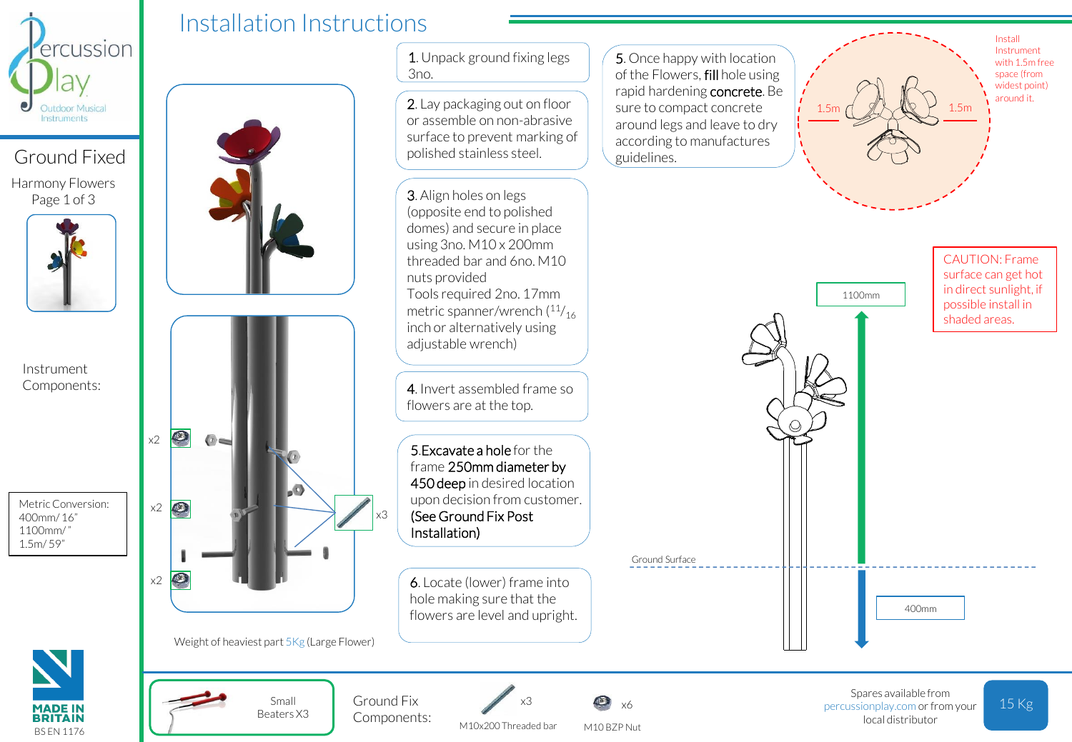

Ground Fixed Harmony Flowers Page 1 of 3



Instrument Components:

Metric Conversion: 400mm/ 16" 1100mm/ " 1.5m/ 59"



Installation Instructions



Weight of heaviest part 5Kg (Large Flower)

Small Beaters X3



2. Lay packaging out on floor or assemble on non-abrasive surface to prevent marking of polished stainless steel.

3. Align holes on legs (opposite end to polished domes) and secure in place using 3no. M10 x 200mm threaded bar and 6no. M10 nuts provided Tools required 2no. 17mm metric spanner/wrench  $(11)_{16}$ inch or alternatively using adjustable wrench)

4. Invert assembled frame so flowers are at the top.

5.Excavate a hole for the frame 250mm diameter by 450 deep in desired location upon decision from customer. (See Ground Fix Post Installation)

x3

Ground Fix Components:

6. Locate (lower) frame into hole making sure that the flowers are level and upright.

M10x200 Threaded bar

x3

M10 BZP Nut x6

Ground Surface

5. Once happy with location of the Flowers, fill hole using rapid hardening concrete. Be sure to compact concrete around legs and leave to dry according to manufactures guidelines.



Install Instrument with 1.5m free space (from widest point) around it.

CAUTION: Frame



400mm



15 Kg Spares available from percussionplay.com or from your local distributor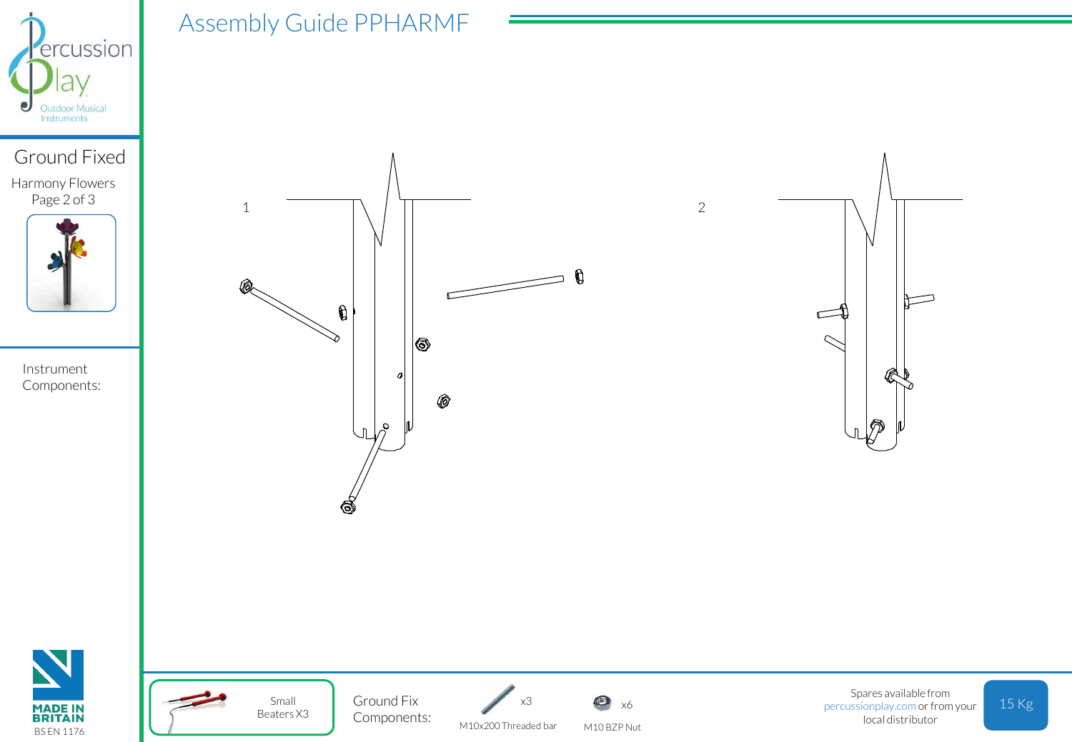

## Ground Fixed Harmony Flowers

Page 2 of 3



Instrument Components:





Small Beaters X3

Assembly Guide PPHARMF

M10x200 Threaded bar Ground Fix  $x_3$   $\infty$   $x_6$ Components:



x3

M10 BZP Nut

Spares available from percussionplay.com or from your local distributor

 $\Box$